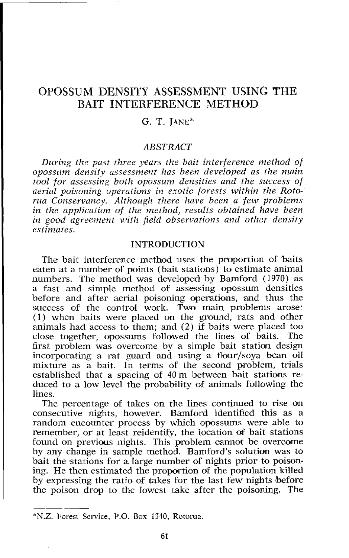# OPOSSUM DENSITY ASSESSMENT USING THE BAIT INTERFERENCE METHOD

# G. T. JANE\*

# **ABSTRACT**

*During the past three years the bait interference method of opossum densit,y assessment has been developed as the main tool for assessing both opossum densities and the success of aerial poisoning operations in exotic forests within the Rotorua Conservancy. Although there have been a few problems in the application of the method, results obtained have been in good agreement with field observations and other density estimates.* 

## **INTRODUCTION**

The bait interference method uses the proportion of baits eaten at a number of points (bait stations) to estimate animal numbers. The method was developed by Bamford (1970) as a fast and simple method of assessing opossum densities before and after aerial poisoning operations, and thus the success of the control work. Two main problems arose: (1) when baits were placed on the ground, rats and other animals had access to them; and (2) if baits were placed too close together, opossums followed the lines of baits. first problem was overcome by a simple bait station design incorporating a rat guard and using a flour/soya bean oil mixture as a bait. In terms of the second problem, trials established that a spacing of  $40 \text{ m}$  between bait stations reduced to a low level the probability **of** animals following the lines.

The percentage of takes on the lines continued to rise on consecutive nights, however. Bamford identified this as a random encounter process by which opossums were able to remember, or at least reidentify, the location of bait stations found on previous nights. This problem cannot be overcome by any change in sample method. Bamford's solution was to bait the stations for a large number of nights prior to poisoning. He then estimated the proportion of the population killed by expressing the ratio of takes for the last few nights before the poison drop to the lowest take after the poisoning. The

**<sup>\*</sup>N.Z.** Forest Service, P.O. Box 1310, Rotoma.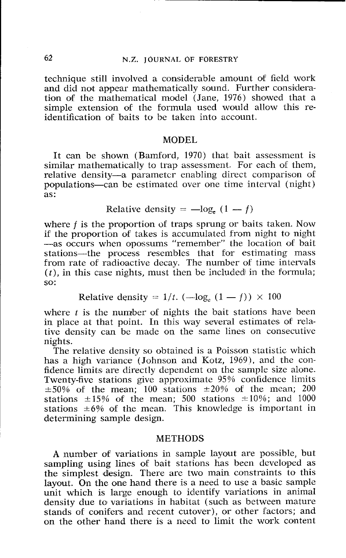# **62** N.Z. **JOURNAL OF FORESTRY**

technique still involved a considerable amount of field work and did not appear mathematically sound. Further consideration of the mathematical model (Jane,  $1976$ ) showed that a simple extension of the formula used would allow this reidentification of baits to be taken into account.

#### MODEL

It can be shown (Bamford, 1970) that bait assessment is similar mathematically to trap assessment. For each of them, relative density-a parameter enabling direct comparison of populations-can be estimated over one time interval (night) as: Relative density =  $-\log_e(1-f)$ 

Relative density = 
$$
-\log_e(1 - f)
$$

where f is the proportion of traps sprung or baits taken. Now if the proportion of takes is accumulated from night to night -as occurs when opossums "remember" the location of bait stations-the process resembles that for estimating mass from rate of radioactive decay. The number of time intervals  $(t)$ , in this case nights, must then be included in the formula; so:  $\frac{1}{t}$ . ( $-\log_e(1-f)$ ) × 100

Relative density = 
$$
1/t
$$
. (-log<sub>e</sub>  $(1 - f)$ )  $\times$  100

where  $t$  is the number of nights the bait stations have been in place at that point. In this way several estimates of relative density can be made on the same lines on consecutive nights.

The relative density so obtained is a Poisson statistic which has a high variance (Johnson and Kotz, 1969), and the confidence limits are directly dependent on the sample size alone. Twenty-five stations give approximate 95% confidence limits  $\pm 50\%$  of the mean; 100 stations  $\pm 20\%$  of the mean; 200 stations  $\pm 15\%$  of the mean; 500 stations  $\pm 10\%$ ; and 1000 stations  $\pm 6\%$  of the mean. This knowledge is important in determining sample design.

# METHODS

A number of variations in sample layout are possible, but sampling using lines of bait stations has been developed as the simplest design. There are two main constraints to this layout. On the one hand there is a need to use a basic sample unit which is large enough to identify variations in animal density due to variations in habitat (such as between mature stands of conifers and recent cutover), or other factors; and on the other hand there is a need to limit the work content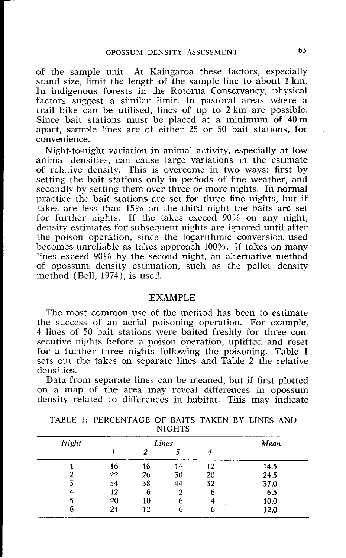of the sample unit. At Kaingaroa these factors, especially stand size, limit the length of the sample line to about 1 km. In indigenous forests in the Rotorua Conservancy, physical factors suggest a similar limit. In pastoral areas where a trail bike can be utilised, lines of up to  $2 \text{ km}$  are possible. Since bait stations must be placed at a minimum of 40 m apart, sample lines are of either 25 or 50 bait stations, for convenience.

Night-to-night variation in animal activity, especially at low animal densities, can cause large variations in the estimate of relative density. This is overcome in two ways: first by setting the bait stations only in periods of fine weather, and secondly by setting them over three or more nights. In normal practice the bait stations are set for three fine nights, but if takes are less than 15% on the third night the baits are set for further nights. If the takes exceed 90% on any night, density estimates for subsequent nights are ignored until after the poison operation, since the logarithmic conversion used becomes unreliable as takes approach 100%. If takes on many lines exceed 90% by the second night, an alternative method of opossum density estimation, such as the pellet density method (Bell, 1974), is used.

### EXAMPLE

The most common use of the method has been to estimate the success of an aerial poisoning operation. For example, 4 lines of 50 bait stations were baited freshly for three consecutive nights before a poison operation, uplifted and reset for a further three nights following the poisoning. Table 1 sets out the takes on separate lines and Table 2 the relative densities.

Data from separate lines can be meaned, but if first plotted on a map of the area may reveal differences in opossum density related to differences in habitat. This may indicate

| Night |    | Mean |    |    |      |
|-------|----|------|----|----|------|
|       |    |      |    |    |      |
|       | 16 | 16   | 14 | 12 | 14.5 |
|       | 22 | 26   | 30 | 20 | 24.5 |
|       | 34 | 38   | 44 | 32 | 37.0 |
|       | 12 | 6    | 2  | 6  | 6.5  |
|       | 20 | 10   |    |    | 10.0 |
| 6     | 24 | 12   |    | ь  | 12.0 |

TABLE 1: PERCENTAGE OF BAITS TAKEN BY LINES AND **NIGHTS**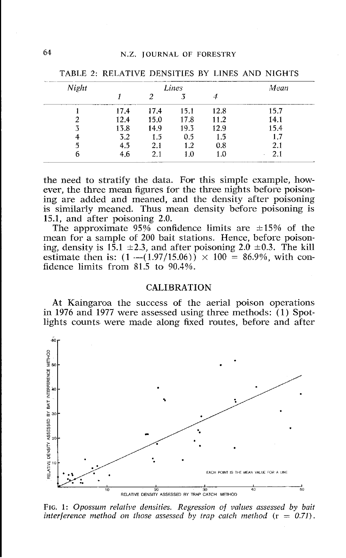| Night |      | Mean |      |      |      |
|-------|------|------|------|------|------|
|       |      |      |      |      |      |
|       | 17,4 | 17.4 | 15.1 | 12.8 | 15.7 |
|       | 12.4 | 15.0 | 17.8 | 11.2 | 14.1 |
|       | 13.8 | 14.9 | 19.3 | 12.9 | 15.4 |
|       | 3.2  | 1.5  | 0.5  | 1.5  | 1.7  |
| 'n    | 4.5  | 2.1  | 1.2  | 0.8  | 2.1  |
| n     | 4.6  | 2.1  | 1.0  | 1.0  | 2.1  |

TABLE 2: RELATIVE DENSITIES BY LINES AND NIGHTS

the need to stratify the data. For this simple example, however, the three mean figures for the three nights before poisoning are added and meaned, and the density after poisoning is similarly meaned. Thus mean density before poisoning is 15.1, and after poisoning 2.0.

The approximate  $95\%$  confidence limits are  $\pm 15\%$  of the mean for a sample of 200 bait stations. Hence, before poisoning, density is 15.1  $\pm$ 2.3, and after poisoning 2.0  $\pm$ 0.3. The kill estimate then is:  $(1 - (1.97/15.06)) \times 100 = 86.9\%$ , with confidence limits from 81.5 to 90.4%.

#### **CALIBRATION**

At Kaingaroa the success of the aerial poison operations in 1976 and 1977 were assessed using three methods: (1) Spotlights counts were made along fixed routes, before and after



*FIG.* **1:** *Opossum relative densities. Regression of values assessed by bait interference method on those assessed by trap catch method*  $(r = 0.71)$ .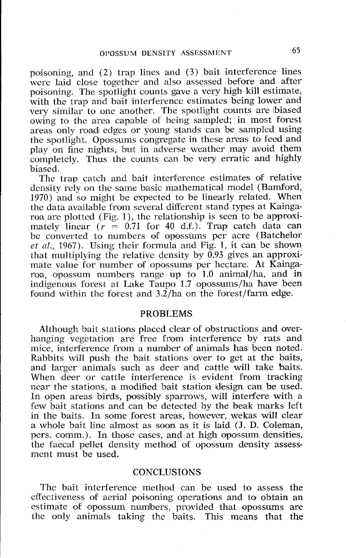poisoning, and (2) trap lines and (3) bait interference lines were laid close together and also assessed before and after poisoning. The spotlight counts gave a very high kill estimate, with the trap and bait interference estimates being lower and very similar to one another. The spotlight counts are biased owing to the area capable of being sampled; in most forest areas only road edgcs or young stands can be sampled using the spotlight. Opossums congregate in these areas to feed and play on fine nights, but in adverse weather may avoid them completely. Thus the counts can be very erratic and highly biased.

The trap catch and bait interference estimates of relative density rely on the samc basic mathematical model (Bamford, 1970) and so might be expected to be linearly related. When the data available from several different stand types at Kaingaroa are plotted (Fig. 1), the relationship is seen to be approximately linear  $(r = 0.71$  for 40 d.f.). Trap catch data can be converted to numbers of opossums per acre (Batchelor *et* a!., 1967). Using their formula and Fig. I, it can be shown that multiplying the relative density by 0.93 gives an approximate value for number of opossums per hectare. At Kaingaroa, opossum numbers range up to 1.0 animal/ha, and in indigenous forest at Lake Taupo 1.7 opossums/ha have been found within the forest and  $3.2/ha$  on the forest/farm edge.

#### PROBLEMS

Although bait stations placed clear of obstructions and overhanging vegetation are free from interference by rats and mice, interference from a number of animals has been noted. Rabbits will push the bait stations over to get at the baits, and larger animals such as deer and cattle will take baits. When deer or cattle interference is evident from tracking near the stations, a modified bait station design can be used. In open areas birds, possibly sparrows, will interfere with a few bait stations and can be detected by the beak marks left in the baits. In some forest areas, however, wekas will clear a whole bait line almost as soon as it is laid (J. D. Coleman, pers. comm.). In those cases, and at high opossum densities, the faecal pellet density method of opossum density assessment must be used.

# **CONCLUSIONS**

The bait interference method can be used to assess the effectiveness of aerial poisoning operations and to obtain an estimate of opossum numbers, provided that opossums are the only animals taking the baits. This means that the